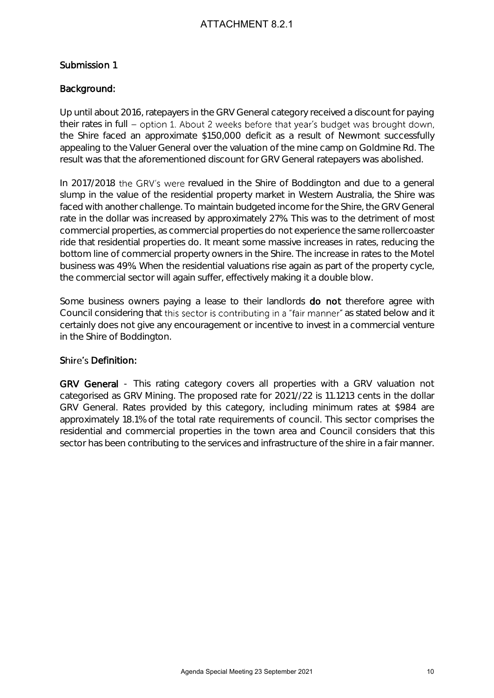#### Submission 1

#### Background:

Up until about 2016, ratepayers in the GRV General category received a discount for paying their rates in full - option 1. About 2 weeks before that year's budget was brought down, the Shire faced an approximate \$150,000 deficit as a result of Newmont successfully appealing to the Valuer General over the valuation of the mine camp on Goldmine Rd. The result was that the aforementioned discount for GRV General ratepayers was abolished.

In 2017/2018 the GRV's were revalued in the Shire of Boddington and due to a general slump in the value of the residential property market in Western Australia, the Shire was faced with another challenge. To maintain budgeted income for the Shire, the GRV General rate in the dollar was increased by approximately 27%. This was to the detriment of most commercial properties, as commercial properties do not experience the same rollercoaster ride that residential properties do. It meant some massive increases in rates, reducing the bottom line of commercial property owners in the Shire. The increase in rates to the Motel business was 49%. When the residential valuations rise again as part of the property cycle, the commercial sector will again suffer, effectively making it a double blow. A TTACHMENT 8.2.1<br>
As the CRV General category received a discount to regiving<br>
About 2 weeks before that year's budget was brought down,<br>
and ST60,000 defict as a result of Newmont successfully<br>
rate ST60,000 defict as a

Some business owners paying a lease to their landlords **do not** therefore agree with Council considering that this sector is contributing in a "fair manner" as stated below and it certainly does not give any encouragement or incentive to invest in a commercial venture in the Shire of Boddington.

#### Shire's Definition:

GRV General - This rating category covers all properties with a GRV valuation not categorised as GRV Mining. The proposed rate for 2021//22 is 11.1213 cents in the dollar GRV General. Rates provided by this category, including minimum rates at \$984 are approximately 18.1% of the total rate requirements of council. This sector comprises the residential and commercial properties in the town area and Council considers that this sector has been contributing to the services and infrastructure of the shire in a fair manner.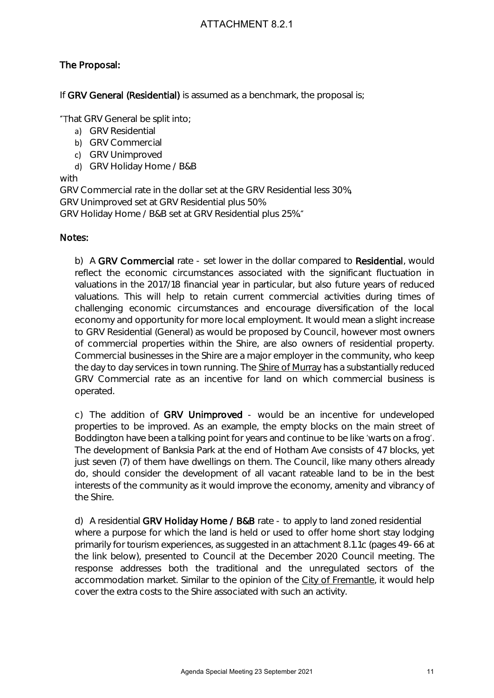### The Proposal:

If GRV General (Residential) is assumed as a benchmark, the proposal is;

"That GRV General be split into;

- a) GRV Residential
- b) GRV Commercial
- c) GRV Unimproved
- d) GRV Holiday Home / B&B

with

GRV Commercial rate in the dollar set at the GRV Residential less 30%,

GRV Unimproved set at GRV Residential plus 50%

GRV Holiday Home / B&B set at GRV Residential plus 25%.

#### Notes:

b) A GRV Commercial rate - set lower in the dollar compared to Residential, would reflect the economic circumstances associated with the significant fluctuation in valuations in the 2017/18 financial year in particular, but also future years of reduced valuations. This will help to retain current commercial activities during times of challenging economic circumstances and encourage diversification of the local economy and opportunity for more local employment. It would mean a slight increase to GRV Residential (General) as would be proposed by Council, however most owners of commercial properties within the Shire, are also owners of residential property. Commercial businesses in the Shire are a major employer in the community, who keep the day to day services in town running. The Shire of Murray has a substantially reduced GRV Commercial rate as an incentive for land on which commercial business is operated. A TTACHMENT 8.2.1<br>
Sassumed as a benchmark, the proposal is:<br>
Note:<br>
The sassumed as a benchmark, the proposal is:<br>
AGN at GRV Residential plus 50%.<br>
Alfolder set at the GRV Residential plus 25%.<br>
Need at GRV Residential p

c) The addition of GRV Unimproved - would be an incentive for undeveloped properties to be improved. As an example, the empty blocks on the main street of Boddington have been a talking point for years and continue to be like 'warts on a frog'. The development of Banksia Park at the end of Hotham Ave consists of 47 blocks, yet just seven (7) of them have dwellings on them. The Council, like many others already do, should consider the development of all vacant rateable land to be in the best interests of the community as it would improve the economy, amenity and vibrancy of the Shire.

d) A residential GRV Holiday Home / B&B rate - to apply to land zoned residential where a purpose for which the land is held or used to offer home short stay lodging primarily for tourism experiences, as suggested in an attachment 8.1.1c (pages 49-66 at the link below), presented to Council at the December 2020 Council meeting. The response addresses both the traditional and the unregulated sectors of the accommodation market. Similar to the opinion of the City of Fremantle, it would help cover the extra costs to the Shire associated with such an activity.